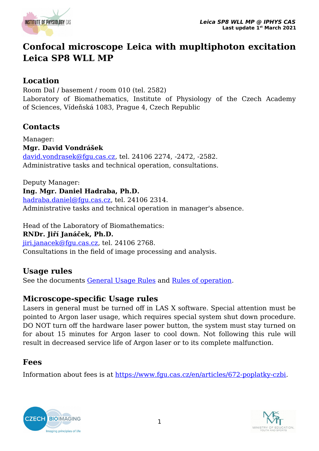

# **Confocal microscope Leica with mupltiphoton excitation Leica SP8 WLL MP**

### **Location**

Room DaI / basement / room 010 (tel. 2582) Laboratory of Biomathematics, Institute of Physiology of the Czech Academy of Sciences, Vídeňská 1083, Prague 4, Czech Republic

# **Contacts**

Manager: **Mgr. David Vondrášek** [david.vondrasek@fgu.cas.cz](mailto:david.vondrasek@fgu.cas.cz), tel. 24106 2274, -2472, -2582. Administrative tasks and technical operation, consultations.

Deputy Manager:

#### **Ing. Mgr. Daniel Hadraba, Ph.D.**

[hadraba.daniel@fgu.cas.cz,](mailto:hadraba.daniel@fgu.cas.cz) tel. 24106 2314. Administrative tasks and technical operation in manager's absence.

Head of the Laboratory of Biomathematics:

**RNDr. Jiří Janáček, Ph.D.**

[jiri.janacek@fgu.cas.cz](mailto:jiri.janacek@fgu.cas.cz), tel. 24106 2768.

Consultations in the field of image processing and analysis.

# **Usage rules**

See the documents [General Usage Rules](https://www.fgu.cas.cz/en/articles/667-pravidla-czbi) and [Rules of operation.](https://www.fgu.cas.cz/en/articles/566-leica-sp8-aobs-wll-mp-confocal)

### **Microscope-specific Usage rules**

Lasers in general must be turned off in LAS X software. Special attention must be pointed to Argon laser usage, which requires special system shut down procedure. DO NOT turn off the hardware laser power button, the system must stay turned on for about 15 minutes for Argon laser to cool down. Not following this rule will result in decreased service life of Argon laser or to its complete malfunction.

# **Fees**

Information about fees is at<https://www.fgu.cas.cz/en/articles/672-poplatky-czbi>.



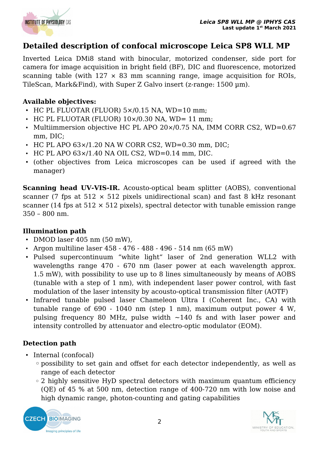

# **Detailed description of confocal microscope Leica SP8 WLL MP**

Inverted Leica DMi8 stand with binocular, motorized condenser, side port for camera for image acquisition in bright field (BF), DIC and fluorescence, motorized scanning table (with  $127 \times 83$  mm scanning range, image acquisition for ROIs, TileScan, Mark&Find), with Super Z Galvo insert (z-range: 1500 µm).

#### **Available objectives:**

- HC PL FLUOTAR (FLUOR) 5×/0.15 NA, WD=10 mm;
- $\cdot$  HC PL FLUOTAR (FLUOR) 10×/0.30 NA, WD= 11 mm;
- Multiimmersion objective HC PL APO 20×/0.75 NA, IMM CORR CS2, WD=0.67 mm, DIC;
- $\cdot$  HC PL APO 63×/1.20 NA W CORR CS2, WD=0.30 mm, DIC;
- HC PL APO 63×/1.40 NA OIL CS2, WD=0.14 mm, DIC.
- (other objectives from Leica microscopes can be used if agreed with the manager)

**Scanning head UV-VIS-IR.** Acousto-optical beam splitter (AOBS), conventional scanner (7 fps at  $512 \times 512$  pixels unidirectional scan) and fast 8 kHz resonant scanner (14 fps at  $512 \times 512$  pixels), spectral detector with tunable emission range 350 – 800 nm.

#### **Illumination path**

- DMOD laser 405 nm (50 mW),
- Argon multiline laser 458 476 488 496 514 nm (65 mW)
- Pulsed supercontinuum "white light" laser of 2nd generation WLL2 with wavelengths range 470 - 670 nm (laser power at each wavelength approx. 1.5 mW), with possibility to use up to 8 lines simultaneously by means of AOBS (tunable with a step of 1 nm), with independent laser power control, with fast modulation of the laser intensity by acousto-optical transmission filter (AOTF)
- Infrared tunable pulsed laser Chameleon Ultra I (Coherent Inc., CA) with tunable range of 690 - 1040 nm (step 1 nm), maximum output power 4 W, pulsing frequency 80 MHz, pulse width  $\sim$ 140 fs and with laser power and intensity controlled by attenuator and electro-optic modulator (EOM).

#### **Detection path**

- Internal (confocal)
	- ◦possibility to set gain and offset for each detector independently, as well as range of each detector
	- 2 highly sensitive HyD spectral detectors with maximum quantum efficiency (QE) of 45 % at 500 nm, detection range of 400-720 nm with low noise and high dynamic range, photon-counting and gating capabilities



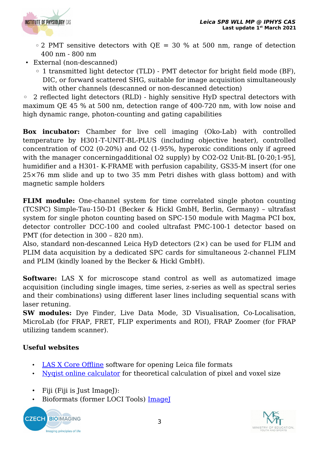

- $\degree$  2 PMT sensitive detectors with QE = 30 % at 500 nm, range of detection 400 nm - 800 nm
- External (non-descanned)
	- 1 transmitted light detector (TLD) PMT detector for bright field mode (BF), DIC, or forward scattered SHG, suitable for image acquisition simultaneously with other channels (descanned or non-descanned detection)

◦ 2 reflected light detectors (RLD) - highly sensitive HyD spectral detectors with maximum QE 45 % at 500 nm, detection range of 400-720 nm, with low noise and high dynamic range, photon-counting and gating capabilities

**Box incubator:** Chamber for live cell imaging (Oko-Lab) with controlled temperature by H301-T-UNIT-BL-PLUS (including objective heater), controlled concentration of CO2 (0-20%) and O2 (1-95%, hyperoxic conditions only if agreed with the manager concerningadditional O2 supply) by CO2-O2 Unit-BL [0-20;1-95], humidifier and a H301- K-FRAME with perfusion capability, GS35-M insert (for one 25×76 mm slide and up to two 35 mm Petri dishes with glass bottom) and with magnetic sample holders

**FLIM module:** One-channel system for time correlated single photon counting (TCSPC) Simple-Tau-150-D1 (Becker & Hickl GmbH, Berlin, Germany) – ultrafast system for single photon counting based on SPC-150 module with Magma PCI box, detector controller DCC-100 and cooled ultrafast PMC-100-1 detector based on PMT (for detection in 300 – 820 nm).

Also, standard non-descanned Leica HyD detectors (2×) can be used for FLIM and PLIM data acquisition by a dedicated SPC cards for simultaneous 2-channel FLIM and PLIM (kindly loaned by the Becker & Hickl GmbH).

**Software:** LAS X for microscope stand control as well as automatized image acquisition (including single images, time series, z-series as well as spectral series and their combinations) using different laser lines including sequential scans with laser retuning.

**SW modules:** Dye Finder, Live Data Mode, 3D Visualisation, Co-Localisation, MicroLab (for FRAP, FRET, FLIP experiments and ROI), FRAP Zoomer (for FRAP utilizing tandem scanner).

### **Useful websites**

- • [LAS X Core Offline](http://www.leica-microsystems.com/products/microscope-software/details/product/leica-las-x-ls/) software for opening Leica file formats
- [Nyqist online calculator](https://svi.nl/NyquistCalculator) for theoretical calculation of pixel and voxel size
- Fiji (Fiji is Just ImageJ):
- Bioformats (former LOCI Tools) ImageI